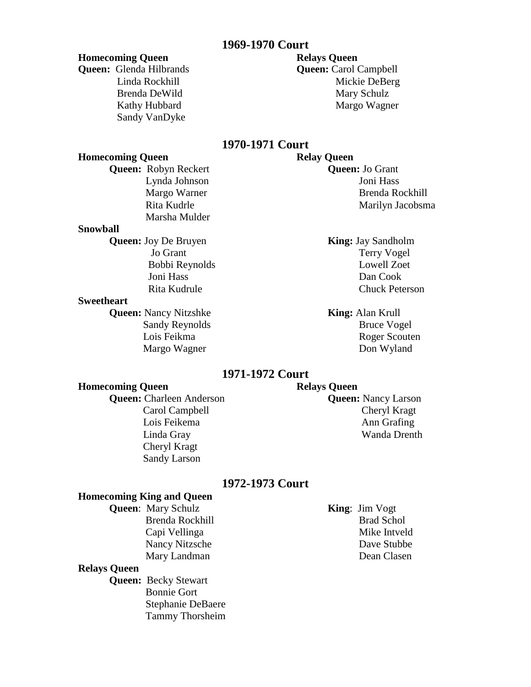# **1969-1970 Court**

#### **Homecoming Queen Relays Queen**

**Queen:** Glenda Hilbrands **Queen:** Carol Campbell Sandy VanDyke

# Linda Rockhill Mickie DeBerg Brenda DeWild Mary Schulz Kathy Hubbard Margo Wagner

# **1970-1971 Court**

# **Homecoming Queen Relay Queen Queen:** Robyn Reckert **Queen:** Jo Grant Marsha Mulder

#### **Snowball**

**Queen:** Joy De Bruyen **King:** Jay Sandholm

## **Sweetheart**

**Queen:** Nancy Nitzshke **King:** Alan Krull

# Lynda Johnson Joni Hass Margo Warner Brenda Rockhill Rita Kudrle Marilyn Jacobsma

Jo Grant Terry Vogel Bobbi Reynolds Lowell Zoet Joni Hass Dan Cook Rita Kudrule Chuck Peterson

Sandy Reynolds Bruce Vogel Lois Feikma Roger Scouten Margo Wagner Don Wyland

# **1971-1972 Court**

# **Homecoming Queen Relays Queen**

**Queen:** Charleen Anderson **Queen:** Nancy Larson Cheryl Kragt Sandy Larson

Carol Campbell Cheryl Kragt Lois Feikema **Ann** Grafing Linda Gray Wanda Drenth

# **1972-1973 Court**

### **Homecoming King and Queen**

**Queen**: Mary Schulz **King**: Jim Vogt

#### **Relays Queen**

**Queen:** Becky Stewart Bonnie Gort Stephanie DeBaere Tammy Thorsheim

Brenda Rockhill Brad Schol Capi Vellinga Mike Intveld Nancy Nitzsche Dave Stubbe Mary Landman Dean Clasen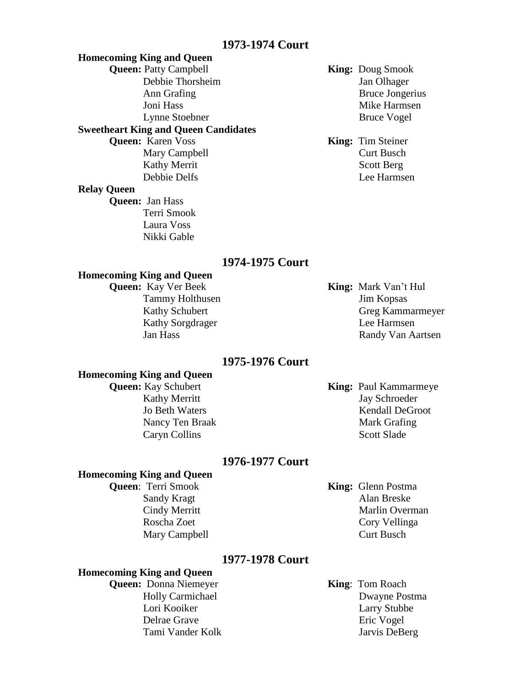# **1973-1974 Court**

# **Homecoming King and Queen Queen:** Patty Campbell **King:** Doug Smook Debbie Thorsheim Jan Olhager Ann Grafing Bruce Jongerius Joni Hass Mike Harmsen Lynne Stoebner Bruce Vogel **Sweetheart King and Queen Candidates Queen:** Karen Voss **King:** Tim Steiner Mary Campbell Curt Busch Kathy Merrit Scott Berg Debbie Delfs Lee Harmsen

# **Relay Queen**

**Queen:** Jan Hass Terri Smook Laura Voss Nikki Gable

#### **1974-1975 Court**

#### **Homecoming King and Queen**

**Queen:** Kay Ver Beek **King:** Mark Van't Hul Tammy Holthusen Jim Kopsas

Kathy Schubert Greg Kammarmeyer Kathy Sorgdrager Lee Harmsen Jan Hass Randy Van Aartsen

## **1975-1976 Court**

#### **Homecoming King and Queen**

# **Queen:** Kay Schubert **King:** Paul Kammarmeye Kathy Merritt Jay Schroeder Jo Beth Waters Kendall DeGroot Nancy Ten Braak Mark Grafing Caryn Collins Scott Slade

# **1976-1977 Court**

#### **Homecoming King and Queen**

**Queen**: Terri Smook **King:** Glenn Postma

Sandy Kragt Alan Breske Cindy Merritt Marlin Overman Roscha Zoet Cory Vellinga Mary Campbell Curt Busch

# **1977-1978 Court**

# **Homecoming King and Queen**

- **Queen:** Donna Niemeyer **King**: Tom Roach Delrae Grave Eric Vogel
	- Holly Carmichael Dwayne Postma Lori Kooiker Larry Stubbe Tami Vander Kolk Jarvis DeBerg